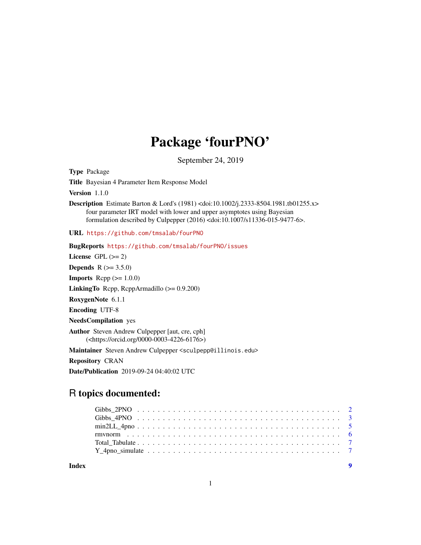# Package 'fourPNO'

September 24, 2019

Type Package

Title Bayesian 4 Parameter Item Response Model

Version 1.1.0

Description Estimate Barton & Lord's (1981) <doi:10.1002/j.2333-8504.1981.tb01255.x> four parameter IRT model with lower and upper asymptotes using Bayesian formulation described by Culpepper (2016) <doi:10.1007/s11336-015-9477-6>.

URL <https://github.com/tmsalab/fourPNO>

BugReports <https://github.com/tmsalab/fourPNO/issues> License GPL  $(>= 2)$ **Depends** R  $(>= 3.5.0)$ **Imports** Rcpp  $(>= 1.0.0)$ LinkingTo Rcpp, RcppArmadillo (>= 0.9.200) RoxygenNote 6.1.1 Encoding UTF-8 NeedsCompilation yes Author Steven Andrew Culpepper [aut, cre, cph] (<https://orcid.org/0000-0003-4226-6176>)

Maintainer Steven Andrew Culpepper <sculpepp@illinois.edu>

Repository CRAN

Date/Publication 2019-09-24 04:40:02 UTC

# R topics documented:

**Index** [9](#page-8-0)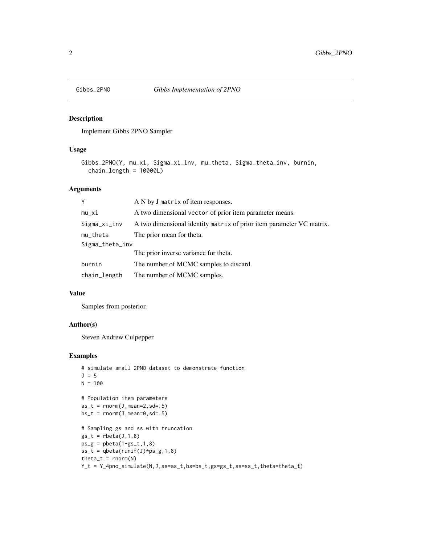<span id="page-1-0"></span>

#### Description

Implement Gibbs 2PNO Sampler

#### Usage

```
Gibbs_2PNO(Y, mu_xi, Sigma_xi_inv, mu_theta, Sigma_theta_inv, burnin,
  chain_length = 10000L)
```
#### Arguments

| Y               | A N by J matrix of item responses.                                   |
|-----------------|----------------------------------------------------------------------|
| $mu_x$ i        | A two dimensional vector of prior item parameter means.              |
| Sigma_xi_inv    | A two dimensional identity matrix of prior item parameter VC matrix. |
| $mu_{t}$ heta   | The prior mean for theta.                                            |
| Sigma_theta_inv |                                                                      |
|                 | The prior inverse variance for theta.                                |
| burnin          | The number of MCMC samples to discard.                               |
| chain_length    | The number of MCMC samples.                                          |

#### Value

Samples from posterior.

#### Author(s)

Steven Andrew Culpepper

#### Examples

```
# simulate small 2PNO dataset to demonstrate function
J = 5N = 100# Population item parameters
as_t = rnorm(J,mean=2, sd=.5)bs_t = rnorm(J,mean=0, sd=.5)# Sampling gs and ss with truncation
gs_t = \text{rbeta}(J,1,8)ps_g = \text{pbeta}(1-gs_t,1,8)ss_t = qbeta(runif(J)*ps_g, 1, 8)theta_t = rnorm(N)Y_t = Y_4pno_simulate(N, J, as=as_t, bs=bs_t, gs=gs_t, ss=ss_t, theta=theta_t)
```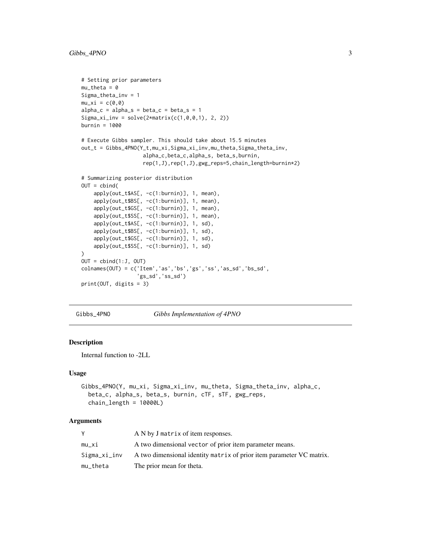```
# Setting prior parameters
mu_{theta} = 0Sigma_theta_inv = 1
mu_xi = c(0,0)
alpha_c = alpha_s = beta_c = beta_s = 1Sigma_xi_inv = solve(2*matrix(c(1, 0, 0, 1), 2, 2))burnin = 1000
# Execute Gibbs sampler. This should take about 15.5 minutes
out_t = Gibbs_4PNO(Y_t,mu_xi,Sigma_xi_inv,mu_theta,Sigma_theta_inv,
                    alpha_c,beta_c,alpha_s, beta_s,burnin,
                    rep(1,J),rep(1,J),gwg_reps=5,chain_length=burnin*2)
# Summarizing posterior distribution
OUT = \text{cbind}(apply(out_t$AS[, -c(1:burnin)], 1, mean),
    apply(out_t$BS[, -c(1:burnin)], 1, mean),
    apply(out_t$GS[, -c(1:burnin)], 1, mean),
    apply(out_t$SS[, -c(1:burnin)], 1, mean),
    apply(out_t$AS[, -c(1:burnin)], 1, sd),
    apply(out_t$BS[, -c(1:burnin)], 1, sd),
    apply(out_t$GS[, -c(1:burnin)], 1, sd),
    apply(out_t$SS[, -c(1:burnin)], 1, sd)
\mathcal{L}OUT = child(1:J, OUT)colnames(OUT) = c('Item','as','bs','gs','ss','as_sd','bs_sd',
                   'gs_sd','ss_sd')
print(OUT, digits = 3)
```

```
Gibbs_4PNO Gibbs Implementation of 4PNO
```
#### Description

Internal function to -2LL

#### Usage

```
Gibbs_4PNO(Y, mu_xi, Sigma_xi_inv, mu_theta, Sigma_theta_inv, alpha_c,
 beta_c, alpha_s, beta_s, burnin, cTF, sTF, gwg_reps,
  chain_length = 10000L)
```
#### **Arguments**

|              | A N by J matrix of item responses.                                   |
|--------------|----------------------------------------------------------------------|
| mu xi        | A two dimensional vector of prior item parameter means.              |
| Sigma_xi_inv | A two dimensional identity matrix of prior item parameter VC matrix. |
| mu theta     | The prior mean for theta.                                            |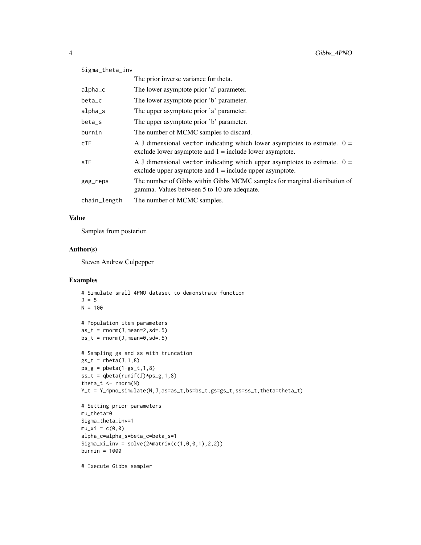| Sigma_theta_inv |                                                                                                                                           |
|-----------------|-------------------------------------------------------------------------------------------------------------------------------------------|
|                 | The prior inverse variance for theta.                                                                                                     |
| alpha_c         | The lower asymptote prior 'a' parameter.                                                                                                  |
| beta_c          | The lower asymptote prior 'b' parameter.                                                                                                  |
| alpha_s         | The upper asymptote prior 'a' parameter.                                                                                                  |
| beta_s          | The upper asymptote prior 'b' parameter.                                                                                                  |
| burnin          | The number of MCMC samples to discard.                                                                                                    |
| <b>CTF</b>      | A J dimensional vector indicating which lower asymptotes to estimate. $0 =$<br>exclude lower asymptote and $1 =$ include lower asymptote. |
| sTF             | A J dimensional vector indicating which upper asymptotes to estimate. $0 =$<br>exclude upper asymptote and $1 =$ include upper asymptote. |
| gwg_reps        | The number of Gibbs within Gibbs MCMC samples for marginal distribution of<br>gamma. Values between 5 to 10 are adequate.                 |
| chain_length    | The number of MCMC samples.                                                                                                               |

#### Value

Samples from posterior.

#### Author(s)

Steven Andrew Culpepper

#### Examples

```
# Simulate small 4PNO dataset to demonstrate function
J = 5N = 100# Population item parameters
as_t = rnorm(J,mean=2, sd=.5)bs_t = rnorm(J,mean=0, sd=.5)# Sampling gs and ss with truncation
gs_t = \text{rbeta}(J,1,8)ps_g = \text{pbeta}(1-gs_t,1,8)ss_t = qbeta(runif(J) * ps_g, 1, 8)theta_t <- rnorm(N)
Y_t = Y_4pno_simulate(N,J,as=as_t,bs=bs_t,gs=gs_t,ss=ss_t,theta=theta_t)
# Setting prior parameters
mu_theta=0
Sigma_theta_inv=1
mu_xi = c(0,0)
alpha_c=alpha_s=beta_c=beta_s=1
Signa_xi_inv = solve(2*matrix(c(1, 0, 0, 1), 2, 2))burnin = 1000
```
# Execute Gibbs sampler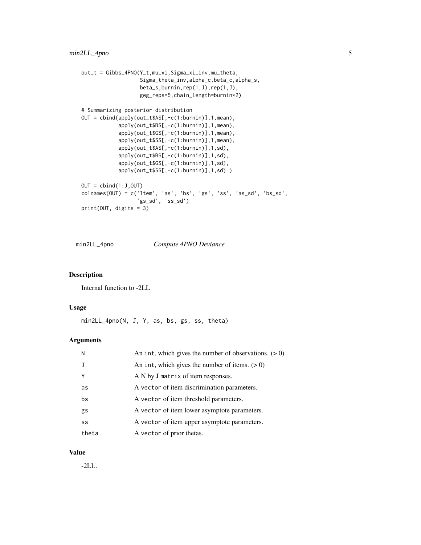```
out_t = Gibbs_4PNO(Y_t,mu_xi,Sigma_xi_inv,mu_theta,
                   Sigma_theta_inv,alpha_c,beta_c,alpha_s,
                   beta_s,burnin,rep(1,J),rep(1,J),
                   gwg_reps=5,chain_length=burnin*2)
# Summarizing posterior distribution
OUT = cbind(apply(out_t$AS[,-c(1:burnin)],1,mean),
            apply(out_t$BS[,-c(1:burnin)],1,mean),
            apply(out_t$GS[,-c(1:burnin)],1,mean),
            apply(out_t$SS[,-c(1:burnin)],1,mean),
            apply(out_t$AS[,-c(1:burnin)],1,sd),
            apply(out_t$BS[,-c(1:burnin)],1,sd),
            apply(out_t$GS[,-c(1:burnin)],1,sd),
            apply(out_t$SS[,-c(1:burnin)],1,sd) )
OUT = \text{cbind}(1:J,OUT)colnames(OUT) = c('Item', 'as', 'bs', 'gs', 'ss', 'as_sd', 'bs_sd',
                  'gs_sd', 'ss_sd')
print(OUT, digits = 3)
```
min2LL\_4pno *Compute 4PNO Deviance*

#### Description

Internal function to -2LL

#### Usage

min2LL\_4pno(N, J, Y, as, bs, gs, ss, theta)

#### Arguments

| N     | An int, which gives the number of observations. $(> 0)$ |
|-------|---------------------------------------------------------|
|       | An int, which gives the number of items. $(> 0)$        |
| γ     | A N by J matrix of item responses.                      |
| as    | A vector of item discrimination parameters.             |
| bs    | A vector of item threshold parameters.                  |
| gs    | A vector of item lower asymptote parameters.            |
| SS    | A vector of item upper asymptote parameters.            |
| theta | A vector of prior thetas.                               |

#### Value

-2LL.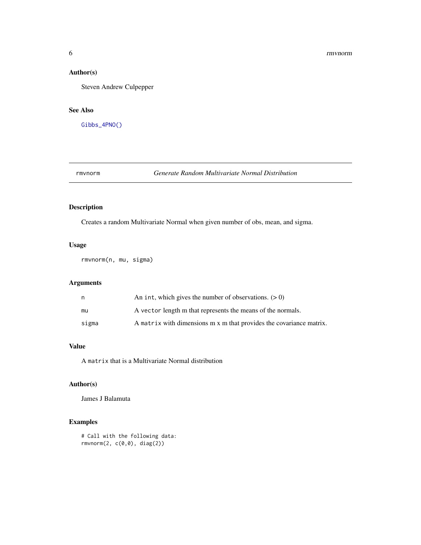#### <span id="page-5-0"></span>Author(s)

Steven Andrew Culpepper

#### See Also

[Gibbs\\_4PNO\(\)](#page-2-1)

#### rmvnorm *Generate Random Multivariate Normal Distribution*

#### Description

Creates a random Multivariate Normal when given number of obs, mean, and sigma.

#### Usage

rmvnorm(n, mu, sigma)

#### Arguments

|       | An int, which gives the number of observations. $(0)$               |
|-------|---------------------------------------------------------------------|
| mu    | A vector length m that represents the means of the normals.         |
| sigma | A matrix with dimensions m x m that provides the covariance matrix. |

#### Value

A matrix that is a Multivariate Normal distribution

#### Author(s)

James J Balamuta

# Examples

```
# Call with the following data:
rmvnorm(2, c(0,0), diag(2))
```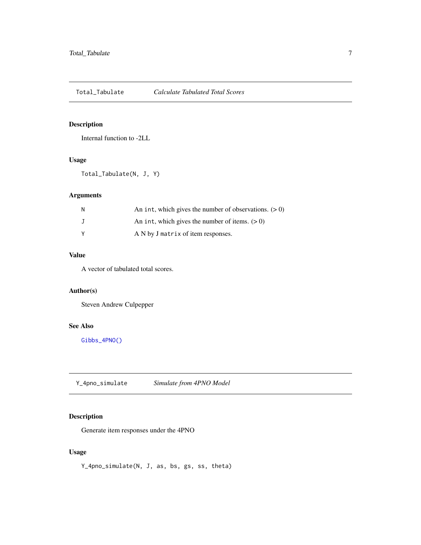<span id="page-6-0"></span>Total\_Tabulate *Calculate Tabulated Total Scores*

#### Description

Internal function to -2LL

#### Usage

Total\_Tabulate(N, J, Y)

#### Arguments

| N        | An int, which gives the number of observations. $(0)$ |
|----------|-------------------------------------------------------|
|          | An int, which gives the number of items. $(0)$        |
| <b>Y</b> | A N by J matrix of item responses.                    |

# Value

A vector of tabulated total scores.

#### Author(s)

Steven Andrew Culpepper

# See Also

[Gibbs\\_4PNO\(\)](#page-2-1)

Y\_4pno\_simulate *Simulate from 4PNO Model*

# Description

Generate item responses under the 4PNO

#### Usage

Y\_4pno\_simulate(N, J, as, bs, gs, ss, theta)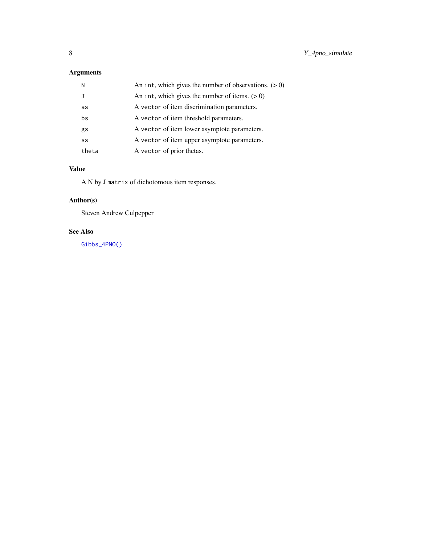# <span id="page-7-0"></span>Arguments

| N     | An int, which gives the number of observations. $(0)$ |
|-------|-------------------------------------------------------|
|       | An int, which gives the number of items. $(>0)$       |
| as    | A vector of item discrimination parameters.           |
| bs    | A vector of item threshold parameters.                |
| gs    | A vector of item lower asymptote parameters.          |
| SS    | A vector of item upper asymptote parameters.          |
| theta | A vector of prior thetas.                             |

# Value

A N by J matrix of dichotomous item responses.

# Author(s)

Steven Andrew Culpepper

# See Also

[Gibbs\\_4PNO\(\)](#page-2-1)